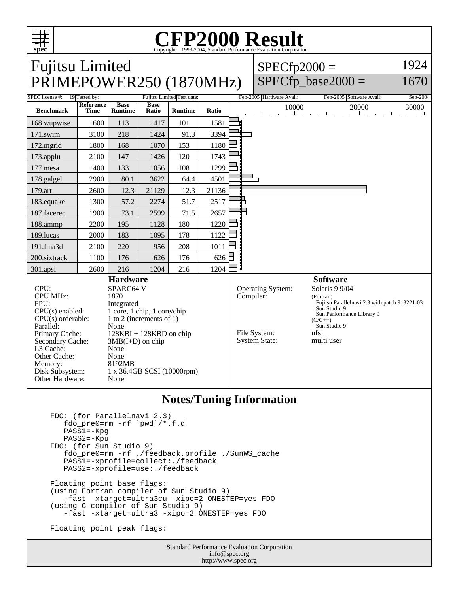

## Copyright ©1999-2004, Standard Performance Evaluation Corporation

| <b>Fujitsu Limited</b><br>PRIMEPOWER250 (1870MHz)                                                                                                                                                                                                                                                                                                                                                                                                        |                                           |                               |                      |                |       |           | $SPECfp2000 =$                                            | $SPECfp\_base2000 =$                                                                                                                                                                              | 1924<br>1670                     |
|----------------------------------------------------------------------------------------------------------------------------------------------------------------------------------------------------------------------------------------------------------------------------------------------------------------------------------------------------------------------------------------------------------------------------------------------------------|-------------------------------------------|-------------------------------|----------------------|----------------|-------|-----------|-----------------------------------------------------------|---------------------------------------------------------------------------------------------------------------------------------------------------------------------------------------------------|----------------------------------|
| Fujitsu Limited Test date:                                                                                                                                                                                                                                                                                                                                                                                                                               |                                           |                               |                      |                |       |           |                                                           |                                                                                                                                                                                                   |                                  |
| SPEC license #:<br><b>Benchmark</b>                                                                                                                                                                                                                                                                                                                                                                                                                      | 19 Tested by:<br>Reference<br><b>Time</b> | <b>Base</b><br><b>Runtime</b> | <b>Base</b><br>Ratio | <b>Runtime</b> | Ratio |           | Feb-2005 Hardware Avail:<br>10000                         | Feb-2005 Software Avail:<br>20000<br><b>The Contract Contract</b><br>$\mathbf{a} = \mathbf{a}$ .<br>$\sim$ 1 $\sim$ $\sim$<br>$\sim 10^{-1}$                                                      | Sep-2004<br>30000<br>Τ.<br>1.111 |
| 168.wupwise                                                                                                                                                                                                                                                                                                                                                                                                                                              | 1600                                      | 113                           | 1417                 | 101            | 1581  |           |                                                           |                                                                                                                                                                                                   |                                  |
| 171.swim                                                                                                                                                                                                                                                                                                                                                                                                                                                 | 3100                                      | 218                           | 1424                 | 91.3           | 3394  |           |                                                           |                                                                                                                                                                                                   |                                  |
| 172.mgrid                                                                                                                                                                                                                                                                                                                                                                                                                                                | 1800                                      | 168                           | 1070                 | 153            | 1180  |           |                                                           |                                                                                                                                                                                                   |                                  |
| 173.applu                                                                                                                                                                                                                                                                                                                                                                                                                                                | 2100                                      | 147                           | 1426                 | 120            | 1743  |           |                                                           |                                                                                                                                                                                                   |                                  |
| 177.mesa                                                                                                                                                                                                                                                                                                                                                                                                                                                 | 1400                                      | 133                           | 1056                 | 108            | 1299  |           |                                                           |                                                                                                                                                                                                   |                                  |
| 178.galgel                                                                                                                                                                                                                                                                                                                                                                                                                                               | 2900                                      | 80.1                          | 3622                 | 64.4           | 4501  |           |                                                           |                                                                                                                                                                                                   |                                  |
| 179.art                                                                                                                                                                                                                                                                                                                                                                                                                                                  | 2600                                      | 12.3                          | 21129                | 12.3           | 21136 |           |                                                           |                                                                                                                                                                                                   |                                  |
| 183.equake                                                                                                                                                                                                                                                                                                                                                                                                                                               | 1300                                      | 57.2                          | 2274                 | 51.7           | 2517  |           |                                                           |                                                                                                                                                                                                   |                                  |
| 187.facerec                                                                                                                                                                                                                                                                                                                                                                                                                                              | 1900                                      | 73.1                          | 2599                 | 71.5           | 2657  |           |                                                           |                                                                                                                                                                                                   |                                  |
| 188.ammp                                                                                                                                                                                                                                                                                                                                                                                                                                                 | 2200                                      | 195                           | 1128                 | 180            | 1220  |           |                                                           |                                                                                                                                                                                                   |                                  |
| 189.lucas                                                                                                                                                                                                                                                                                                                                                                                                                                                | 2000                                      | 183                           | 1095                 | 178            | 1122  |           |                                                           |                                                                                                                                                                                                   |                                  |
| 191.fma3d                                                                                                                                                                                                                                                                                                                                                                                                                                                | 2100                                      | 220                           | 956                  | 208            | 1011  |           |                                                           |                                                                                                                                                                                                   |                                  |
| 200.sixtrack                                                                                                                                                                                                                                                                                                                                                                                                                                             | 1100                                      | 176                           | 626                  | 176            | 626   |           |                                                           |                                                                                                                                                                                                   |                                  |
| 301.apsi                                                                                                                                                                                                                                                                                                                                                                                                                                                 | 2600                                      | 216                           | 1204                 | 216            | 1204  | il.       |                                                           |                                                                                                                                                                                                   |                                  |
| <b>Hardware</b><br>CPU:<br>SPARC64 V<br><b>CPU MHz:</b><br>1870<br>FPU:<br>Integrated<br>$CPU(s)$ enabled:<br>1 core, 1 chip, 1 core/chip<br>1 to 2 (increments of 1)<br>$CPU(s)$ orderable:<br>Parallel:<br>None<br>Primary Cache:<br>$128KBI + 128KBD$ on chip<br>Secondary Cache:<br>$3MB(I+D)$ on chip<br>L3 Cache:<br>None<br>Other Cache:<br>None<br>8192MB<br>Memory:<br>Disk Subsystem:<br>1 x 36.4GB SCSI (10000rpm)<br>Other Hardware:<br>None |                                           |                               |                      |                |       | Compiler: | Operating System:<br>File System:<br><b>System State:</b> | <b>Software</b><br>Solaris 9 9/04<br>(Fortran)<br>Fujitsu Parallelnavi 2.3 with patch 913221-03<br>Sun Studio 9<br>Sun Performance Library 9<br>$(C/C_{++})$<br>Sun Studio 9<br>ufs<br>multi user |                                  |

## **Notes/Tuning Information**

```
 FDO: (for Parallelnavi 2.3)
   fdo_pre0=rm -rf `pwd`/*.f.d
   PASS1=-Kpg
   PASS2=-Kpu
FDO: (for Sun Studio 9)
fdo_pre0=rm -rf ./feedback.profile ./SunWS_cache
PASS1=-xprofile=collect:./feedback
   PASS2=-xprofile=use:./feedback
Floating point base flags:
(using Fortran compiler of Sun Studio 9)
   -fast -xtarget=ultra3cu -xipo=2 ONESTEP=yes FDO
(using C compiler of Sun Studio 9)
   -fast -xtarget=ultra3 -xipo=2 ONESTEP=yes FDO
Floating point peak flags:
```
Standard Performance Evaluation Corporation info@spec.org http://www.spec.org